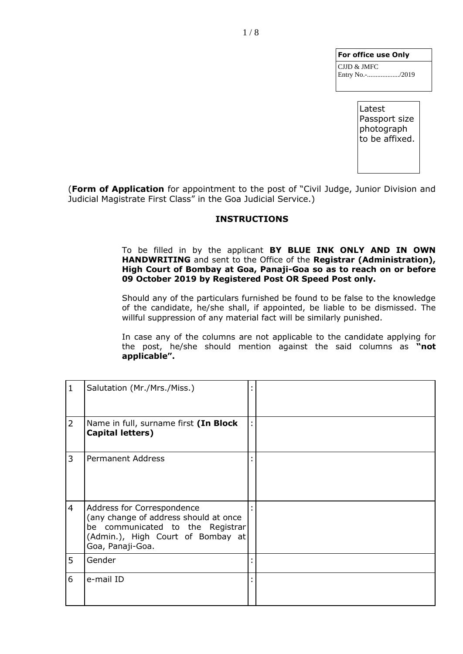| For office use Only            |
|--------------------------------|
| CJJD & JMFC<br>Entry No.-/2019 |
|                                |

Latest Passport size photograph to be affixed.

(**Form of Application** for appointment to the post of "Civil Judge, Junior Division and Judicial Magistrate First Class" in the Goa Judicial Service.)

## **INSTRUCTIONS**

To be filled in by the applicant **BY BLUE INK ONLY AND IN OWN HANDWRITING** and sent to the Office of the **Registrar (Administration), High Court of Bombay at Goa, Panaji-Goa so as to reach on or before 09 October 2019 by Registered Post OR Speed Post only.**

Should any of the particulars furnished be found to be false to the knowledge of the candidate, he/she shall, if appointed, be liable to be dismissed. The willful suppression of any material fact will be similarly punished.

In case any of the columns are not applicable to the candidate applying for the post, he/she should mention against the said columns as **"not applicable".**

| $\mathbf{1}$   | Salutation (Mr./Mrs./Miss.)                                                                                                                                      |   |  |
|----------------|------------------------------------------------------------------------------------------------------------------------------------------------------------------|---|--|
| $\overline{2}$ | Name in full, surname first (In Block<br><b>Capital letters)</b>                                                                                                 | ÷ |  |
| 3              | <b>Permanent Address</b>                                                                                                                                         |   |  |
| 4              | Address for Correspondence<br>(any change of address should at once<br>be communicated to the Registrar<br>(Admin.), High Court of Bombay at<br>Goa, Panaji-Goa. |   |  |
| 5              | Gender                                                                                                                                                           |   |  |
| 6              | e-mail ID                                                                                                                                                        |   |  |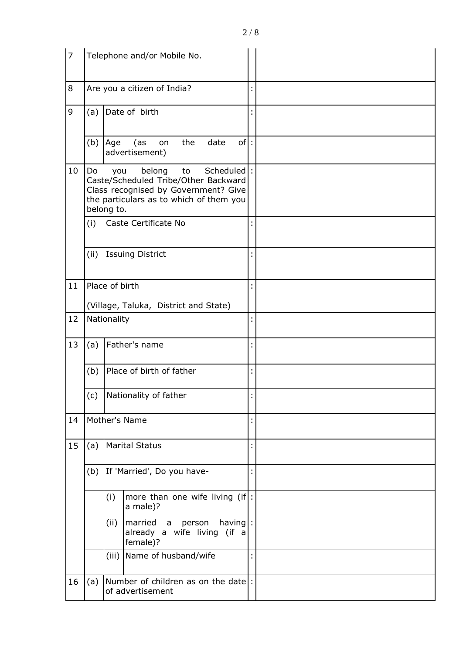| $\overline{7}$ |      |                   | Telephone and/or Mobile No.                                                                                                                          |   |  |
|----------------|------|-------------------|------------------------------------------------------------------------------------------------------------------------------------------------------|---|--|
| 8              |      |                   | Are you a citizen of India?                                                                                                                          |   |  |
| 9              | (a)  |                   | Date of birth                                                                                                                                        |   |  |
|                | (b)  | Age               | of:<br>the<br>date<br>(as<br>on<br>advertisement)                                                                                                    |   |  |
| 10             | Do   | you<br>belong to. | Scheduled<br>belong<br>to<br>Caste/Scheduled Tribe/Other Backward<br>Class recognised by Government? Give<br>the particulars as to which of them you |   |  |
|                | (i)  |                   | Caste Certificate No                                                                                                                                 |   |  |
|                | (ii) |                   | <b>Issuing District</b>                                                                                                                              |   |  |
| 11             |      | Place of birth    |                                                                                                                                                      |   |  |
|                |      |                   | (Village, Taluka, District and State)                                                                                                                |   |  |
| 12             |      | Nationality       |                                                                                                                                                      |   |  |
| 13             | (a)  |                   | Father's name                                                                                                                                        |   |  |
|                | (b)  |                   | Place of birth of father                                                                                                                             |   |  |
|                | (c)  |                   | Nationality of father                                                                                                                                |   |  |
| 14             |      |                   | Mother's Name                                                                                                                                        |   |  |
| 15             | (a)  |                   | <b>Marital Status</b>                                                                                                                                |   |  |
|                | (b)  |                   | If 'Married', Do you have-                                                                                                                           | t |  |
|                |      | (i)               | more than one wife living $(if)$ :<br>a male)?                                                                                                       |   |  |
|                |      | (ii)              | married<br>$having$ :<br>person<br>a<br>already a wife living (if a<br>female)?                                                                      |   |  |
|                |      | (iii)             | Name of husband/wife                                                                                                                                 |   |  |
| 16             | (a)  |                   | Number of children as on the date:<br>of advertisement                                                                                               |   |  |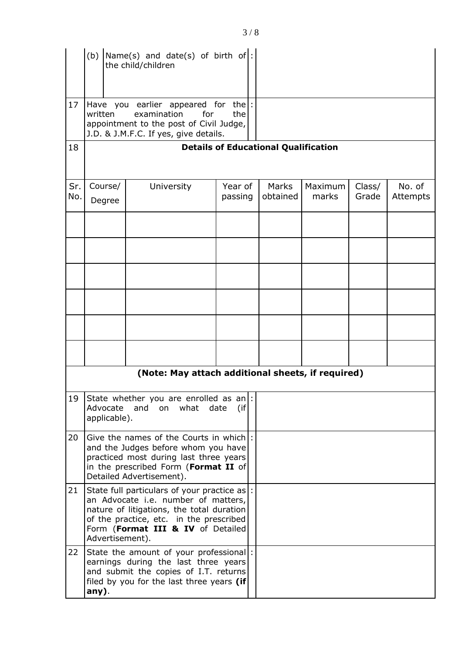|            | (b)                                                                                                                                                                                         | $\text{Name(s)}$ and date(s) of birth of:<br>the child/children                                                                                                                                                  |                    |                   |                  |                 |                    |
|------------|---------------------------------------------------------------------------------------------------------------------------------------------------------------------------------------------|------------------------------------------------------------------------------------------------------------------------------------------------------------------------------------------------------------------|--------------------|-------------------|------------------|-----------------|--------------------|
| 17         | written                                                                                                                                                                                     | Have you earlier appeared for<br>examination<br>for<br>appointment to the post of Civil Judge,<br>J.D. & J.M.F.C. If yes, give details.                                                                          | the :<br>the       |                   |                  |                 |                    |
| 18         | <b>Details of Educational Qualification</b>                                                                                                                                                 |                                                                                                                                                                                                                  |                    |                   |                  |                 |                    |
| Sr.<br>No. | Course/<br>Degree                                                                                                                                                                           | University                                                                                                                                                                                                       | Year of<br>passing | Marks<br>obtained | Maximum<br>marks | Class/<br>Grade | No. of<br>Attempts |
|            |                                                                                                                                                                                             |                                                                                                                                                                                                                  |                    |                   |                  |                 |                    |
|            |                                                                                                                                                                                             |                                                                                                                                                                                                                  |                    |                   |                  |                 |                    |
|            |                                                                                                                                                                                             |                                                                                                                                                                                                                  |                    |                   |                  |                 |                    |
|            |                                                                                                                                                                                             |                                                                                                                                                                                                                  |                    |                   |                  |                 |                    |
|            |                                                                                                                                                                                             | (Note: May attach additional sheets, if required)                                                                                                                                                                |                    |                   |                  |                 |                    |
|            |                                                                                                                                                                                             |                                                                                                                                                                                                                  |                    |                   |                  |                 |                    |
| 19         | Advocate<br>applicable).                                                                                                                                                                    | State whether you are enrolled as an $\mid$ :<br>and on what                                                                                                                                                     | date<br>(if)       |                   |                  |                 |                    |
| 20         | Give the names of the Courts in which!<br>and the Judges before whom you have<br>practiced most during last three years<br>in the prescribed Form (Format II of<br>Detailed Advertisement). |                                                                                                                                                                                                                  |                    |                   |                  |                 |                    |
| 21         | Advertisement).                                                                                                                                                                             | State full particulars of your practice as :<br>an Advocate i.e. number of matters,<br>nature of litigations, the total duration<br>of the practice, etc. in the prescribed<br>Form (Format III & IV of Detailed |                    |                   |                  |                 |                    |
| 22         | any).                                                                                                                                                                                       | State the amount of your professional :<br>earnings during the last three years<br>and submit the copies of I.T. returns<br>filed by you for the last three years (if                                            |                    |                   |                  |                 |                    |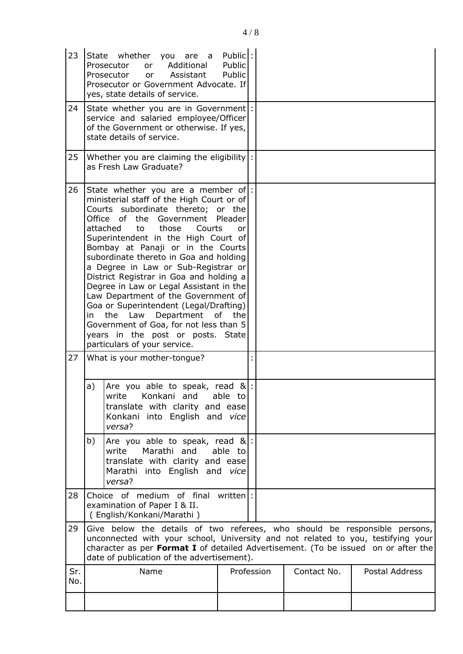| 23         |                                                                                                                                                                                                                                                                                                    | State whether you are a<br>Additional<br>Prosecutor<br><b>or</b><br>Prosecutor<br>Assistant<br>or<br>Prosecutor or Government Advocate. If<br>yes, state details of service.                                                                                                                                                                                                                                                                                                                                                                                                                                                                                                         | Public:<br>Public<br>Public |            |             |                |
|------------|----------------------------------------------------------------------------------------------------------------------------------------------------------------------------------------------------------------------------------------------------------------------------------------------------|--------------------------------------------------------------------------------------------------------------------------------------------------------------------------------------------------------------------------------------------------------------------------------------------------------------------------------------------------------------------------------------------------------------------------------------------------------------------------------------------------------------------------------------------------------------------------------------------------------------------------------------------------------------------------------------|-----------------------------|------------|-------------|----------------|
| 24         |                                                                                                                                                                                                                                                                                                    | State whether you are in Government :<br>service and salaried employee/Officer<br>of the Government or otherwise. If yes,<br>state details of service.                                                                                                                                                                                                                                                                                                                                                                                                                                                                                                                               |                             |            |             |                |
| 25         |                                                                                                                                                                                                                                                                                                    | Whether you are claiming the eligibility  :<br>as Fresh Law Graduate?                                                                                                                                                                                                                                                                                                                                                                                                                                                                                                                                                                                                                |                             |            |             |                |
| 26         | in                                                                                                                                                                                                                                                                                                 | State whether you are a member of:<br>ministerial staff of the High Court or of<br>Courts subordinate thereto; or the<br>Office of the Government Pleader<br>attached<br>those<br>to<br>Courts<br>Superintendent in the High Court of<br>Bombay at Panaji or in the Courts<br>subordinate thereto in Goa and holding<br>a Degree in Law or Sub-Registrar or<br>District Registrar in Goa and holding a<br>Degree in Law or Legal Assistant in the<br>Law Department of the Government of<br>Goa or Superintendent (Legal/Drafting)<br>Law<br>Department of the<br>the<br>Government of Goa, for not less than 5<br>years in the post or posts. State<br>particulars of your service. | or                          |            |             |                |
| 27         |                                                                                                                                                                                                                                                                                                    | What is your mother-tongue?                                                                                                                                                                                                                                                                                                                                                                                                                                                                                                                                                                                                                                                          |                             |            |             |                |
|            |                                                                                                                                                                                                                                                                                                    | a) $ $ Are you able to speak, read & $ $ :<br>Konkani and<br>write<br>translate with clarity and ease<br>Konkani into English and vice<br>versa?                                                                                                                                                                                                                                                                                                                                                                                                                                                                                                                                     | able to                     |            |             |                |
|            | b)                                                                                                                                                                                                                                                                                                 | Are you able to speak, read $\&$ :<br>Marathi and<br>write<br>translate with clarity and ease<br>Marathi into English and vice<br>versa?                                                                                                                                                                                                                                                                                                                                                                                                                                                                                                                                             | able to                     |            |             |                |
| 28         |                                                                                                                                                                                                                                                                                                    | Choice of medium of final written :<br>examination of Paper I & II.<br>(English/Konkani/Marathi)                                                                                                                                                                                                                                                                                                                                                                                                                                                                                                                                                                                     |                             |            |             |                |
| 29         | Give below the details of two referees, who should be responsible persons,<br>unconnected with your school, University and not related to you, testifying your<br>character as per Format I of detailed Advertisement. (To be issued on or after the<br>date of publication of the advertisement). |                                                                                                                                                                                                                                                                                                                                                                                                                                                                                                                                                                                                                                                                                      |                             |            |             |                |
| Sr.<br>No. |                                                                                                                                                                                                                                                                                                    | Name                                                                                                                                                                                                                                                                                                                                                                                                                                                                                                                                                                                                                                                                                 |                             | Profession | Contact No. | Postal Address |
|            |                                                                                                                                                                                                                                                                                                    |                                                                                                                                                                                                                                                                                                                                                                                                                                                                                                                                                                                                                                                                                      |                             |            |             |                |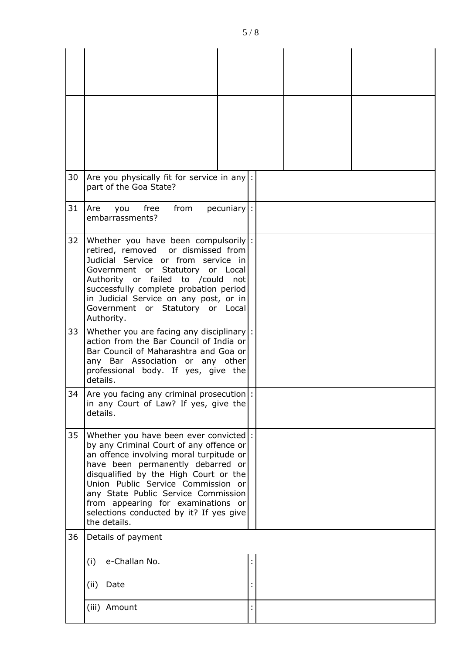| 30 | Are you physically fit for service in any  :<br>part of the Goa State?                                                                                                                                                                                                                                                                                                                   |  |
|----|------------------------------------------------------------------------------------------------------------------------------------------------------------------------------------------------------------------------------------------------------------------------------------------------------------------------------------------------------------------------------------------|--|
| 31 | free<br>from<br>$pecuniary$ :<br>Are<br>you<br>embarrassments?                                                                                                                                                                                                                                                                                                                           |  |
| 32 | Whether you have been compulsorily  :<br>retired, removed or dismissed from<br>Judicial Service or from service in<br>Government or Statutory or Local<br>Authority or failed to /could<br>not<br>successfully complete probation period<br>in Judicial Service on any post, or in<br>Government or Statutory or Local<br>Authority.                                                     |  |
| 33 | Whether you are facing any disciplinary :<br>action from the Bar Council of India or<br>Bar Council of Maharashtra and Goa or<br>any Bar Association or any other<br>professional body. If yes, give the<br>details.                                                                                                                                                                     |  |
| 34 | Are you facing any criminal prosecution :<br>in any Court of Law? If yes, give the<br>details.                                                                                                                                                                                                                                                                                           |  |
| 35 | Whether you have been ever convicted :<br>by any Criminal Court of any offence or<br>an offence involving moral turpitude or<br>have been permanently debarred or<br>disqualified by the High Court or the<br>Union Public Service Commission or<br>any State Public Service Commission<br>from appearing for examinations or<br>selections conducted by it? If yes give<br>the details. |  |
| 36 | Details of payment                                                                                                                                                                                                                                                                                                                                                                       |  |
|    | e-Challan No.<br>(i)                                                                                                                                                                                                                                                                                                                                                                     |  |
|    | (ii)<br>Date                                                                                                                                                                                                                                                                                                                                                                             |  |
|    | (iii)<br>Amount                                                                                                                                                                                                                                                                                                                                                                          |  |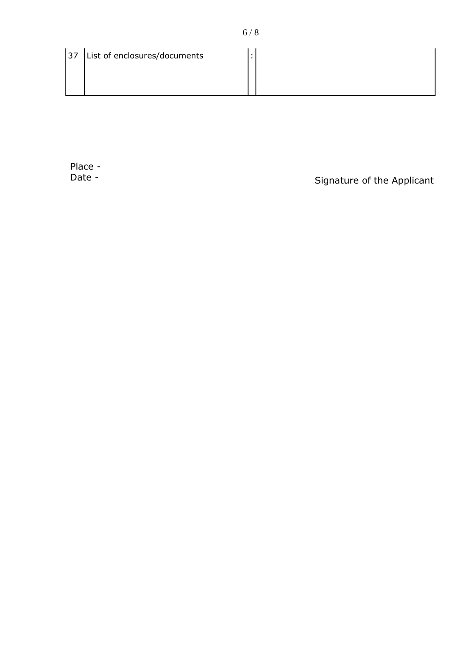|  | 37 List of enclosures/documents |  |  |
|--|---------------------------------|--|--|
|--|---------------------------------|--|--|

Place -<br>Date -

Signature of the Applicant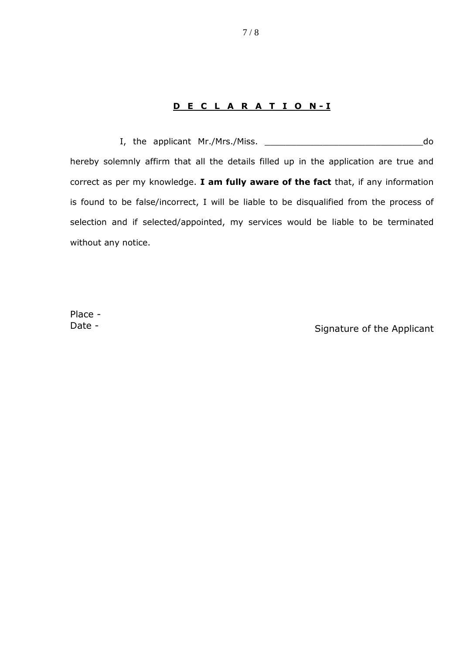## **D E C L A R A T I O N - I**

 I, the applicant Mr./Mrs./Miss. \_\_\_\_\_\_\_\_\_\_\_\_\_\_\_\_\_\_\_\_\_\_\_\_\_\_\_\_\_\_do hereby solemnly affirm that all the details filled up in the application are true and correct as per my knowledge. **I am fully aware of the fact** that, if any information is found to be false/incorrect, I will be liable to be disqualified from the process of selection and if selected/appointed, my services would be liable to be terminated without any notice.

Place -

Date - Signature of the Applicant